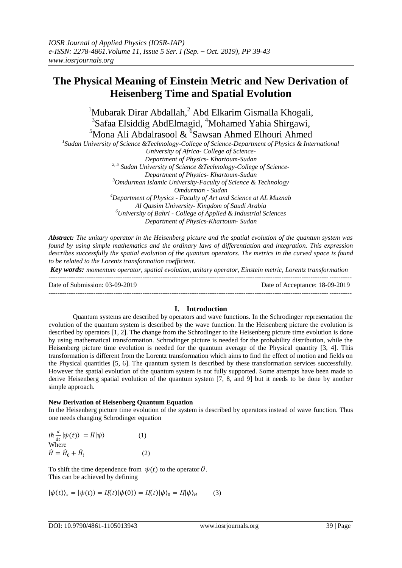# **The Physical Meaning of Einstein Metric and New Derivation of Heisenberg Time and Spatial Evolution**

 $1$ Mubarak Dirar Abdallah,  $2$  Abd Elkarim Gismalla Khogali, <sup>3</sup>Safaa Elsiddig AbdElmagid, <sup>4</sup>Mohamed Yahia Shirgawi,  $5$ Mona Ali Abdalrasool  $\&$   $5$ Sawsan Ahmed Elhouri Ahmed *1 Sudan University of Science &Technology-College of Science-Department of Physics & International University of Africa- College of Science-Department of Physics- Khartoum-Sudan 2, 5 Sudan University of Science &Technology-College of Science-Department of Physics- Khartoum-Sudan <sup>3</sup>Omdurman Islamic University-Faculty of Science & Technology Omdurman - Sudan <sup>4</sup>Department of Physics - Faculty of Art and Science at AL Muznab Al Qassim University- Kingdom of Saudi Arabia <sup>6</sup>University of Bahri - College of Applied & Industrial Sciences Department of Physics-Khartoum- Sudan*

*Abstract: The unitary operator in the Heisenberg picture and the spatial evolution of the quantum system was found by using simple mathematics and the ordinary laws of differentiation and integration. This expression describes successfully the spatial evolution of the quantum operators. The metrics in the curved space is found to be related to the Lorentz transformation coefficient.*

*Key words: momentum operator, spatial evolution, unitary operator, Einstein metric, Lorentz transformation* 

--------------------------------------------------------------------------------------------------------------------------------------- Date of Submission: 03-09-2019 Date of Acceptance: 18-09-2019 ---------------------------------------------------------------------------------------------------------------------------------------

## **I. Introduction**

Quantum systems are described by operators and wave functions. In the Schrodinger representation the evolution of the quantum system is described by the wave function. In the Heisenberg picture the evolution is described by operators [1, 2]. The change from the Schrodinger to the Heisenberg picture time evolution is done by using mathematical transformation. Schrodinger picture is needed for the probability distribution, while the Heisenberg picture time evolution is needed for the quantum average of the Physical quantity [3, 4]. This transformation is different from the Lorentz transformation which aims to find the effect of motion and fields on the Physical quantities [5, 6]. The quantum system is described by these transformation services successfully. However the spatial evolution of the quantum system is not fully supported. Some attempts have been made to derive Heisenberg spatial evolution of the quantum system [7, 8, and 9] but it needs to be done by another simple approach.

### **New Derivation of Heisenberg Quantum Equation**

In the Heisenberg picture time evolution of the system is described by operators instead of wave function. Thus one needs changing Schrodinger equation

$$
i\hbar \frac{d}{dt} |\psi(t)\rangle = \hat{H} |\psi\rangle
$$
 (1)  
Where  

$$
\hat{H} = \hat{H}_0 + \hat{H}_i
$$
 (2)

To shift the time dependence from  $\psi(t)$  to the operator  $\hat{\theta}$ . This can be achieved by defining

$$
|\psi(t)\rangle_s = |\psi(t)\rangle = I(t)|\psi(0)\rangle = I(t)|\psi\rangle_0 = I(|\psi\rangle_H \qquad (3)
$$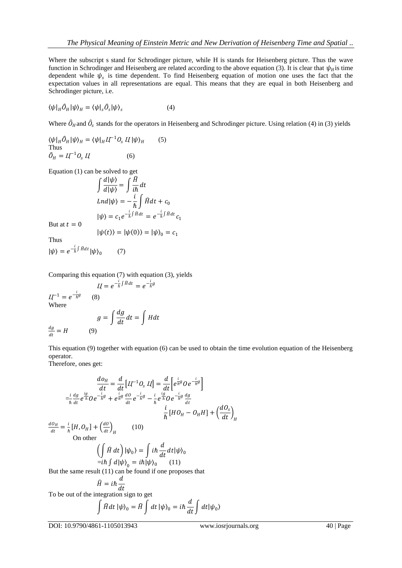Where the subscript s stand for Schrodinger picture, while H is stands for Heisenberg picture. Thus the wave function in Schrodinger and Heisenberg are related according to the above equation (3). It is clear that  $\psi_H$  is time dependent while  $\psi_s$  is time dependent. To find Heisenberg equation of motion one uses the fact that the expectation values in all representations are equal. This means that they are equal in both Heisenberg and Schrodinger picture, i.e.

$$
\langle \psi|_{H} \hat{O}_{H} |\psi\rangle_{H} = \langle \psi|_{s} \hat{O}_{s} |\psi\rangle_{s}
$$
 (4)

Where  $\hat{O}_H$  and  $\hat{O}_s$  stands for the operators in Heisenberg and Schrodinger picture. Using relation (4) in (3) yields

 $\langle \psi |_H \hat{O}_H | \psi \rangle_H = \langle \psi |_H \underline{H}^{-1} O_s \underline{H} | \psi \rangle_H$  (5)  $Thus$  $\hat{O}_H = L \Gamma^{-1} O_s L \tag{6}$ 

Equation (1) can be solved to get

$$
\int \frac{d|\psi\rangle}{d|\psi\rangle} = \int \frac{\hat{H}}{i\hbar} dt
$$
  
\n
$$
Lnd|\psi\rangle = -\frac{i}{\hbar} \int \hat{H} dt + c_0
$$
  
\n
$$
|\psi\rangle = c_1 e^{-\frac{i}{\hbar} \int \hat{H} dt} = e^{-\frac{i}{\hbar} \int \hat{H} dt} c_1
$$

But at  $t = 0$ 

 $|\psi(t)\rangle = |\psi(0)\rangle = |\psi\rangle_0 = c_1$ 

Thus

$$
|\psi\rangle = e^{-\frac{i}{\hbar}\int Hdt} |\psi\rangle_0 \qquad (7)
$$

Comparing this equation (7) with equation (3), yields

$$
II = e^{-\frac{i}{\hbar}\int H dt} = e^{-\frac{i}{\hbar}g}
$$
  
\n
$$
II^{-1} = e^{-\frac{i}{\hbar}g}
$$
 (8)  
\nWhere  
\n
$$
g = \int \frac{dg}{dt} dt = \int H dt
$$
  
\n
$$
\frac{dg}{dt} = H
$$
 (9)

This equation (9) together with equation (6) can be used to obtain the time evolution equation of the Heisenberg operator.

Therefore, ones get:

$$
\frac{d\theta_H}{dt} = \frac{d}{dt} \left[ I - \frac{1}{2} Q_s I \right] = \frac{d}{dt} \left[ e^{\frac{i}{\hbar} g} O e^{-\frac{i}{\hbar} g} \right]
$$
  
\n
$$
= \frac{i}{\hbar} \frac{dg}{dt} e^{\frac{ig}{\hbar}} O e^{-\frac{i}{\hbar} g} + e^{\frac{i}{\hbar} g} \frac{d\theta}{dt} e^{-\frac{i}{\hbar} g} - \frac{i}{\hbar} e^{\frac{ig}{\hbar}} O e^{-\frac{i}{\hbar} g} \frac{dg}{dt}
$$
  
\n
$$
\frac{i}{\hbar} \left[ H O_H - O_H H \right] + \left( \frac{dO_s}{dt} \right)_H
$$
  
\nOn other  
\n
$$
\left( \int \hat{H} dt \right) |\psi_0\rangle = \int i\hbar \frac{d}{dt} dt |\psi\rangle_0
$$
  
\n
$$
= i\hbar \int d|\psi\rangle_0 = i\hbar |\psi\rangle_0 \qquad (11)
$$
  
\nBut the same result (11) can be found if one proposes that  
\n
$$
\hat{H} = i\hbar \frac{d}{dt}
$$
  
\nTo be out of the integration sign to get  
\n
$$
\int \hat{B} \psi_0 d\psi = \int \hat{B} \psi_0 d\psi_0
$$

$$
\int \widehat{H} dt \, |\psi\rangle_0 = \widehat{H} \int dt \, |\psi\rangle_0 = i\hbar \frac{d}{dt} \int dt |\psi_0\rangle
$$

DOI: 10.9790/4861-1105013943 www.iosrjournals.org 40 | Page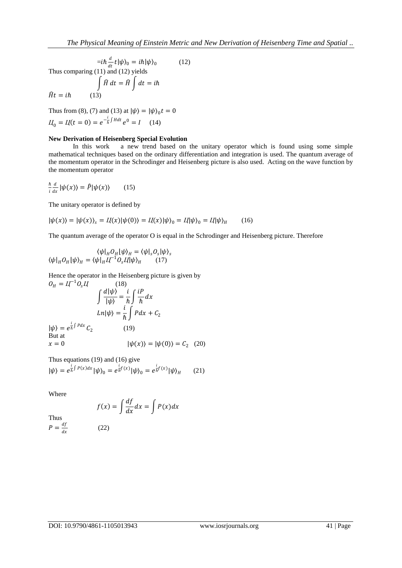$$
=i\hbar \frac{d}{dt}t|\psi\rangle_0 = i\hbar|\psi\rangle_0
$$
 (12)  
Thus comparing (11) and (12) yields  

$$
\int \hat{H} dt = \hat{H} \int dt = i\hbar
$$

$$
\hat{H}t = i\hbar
$$
 (13)

Thus from (8), (7) and (13) at  $|\psi\rangle = |\psi\rangle_0 t = 0$  $U_0 = U(t = 0) = e^{-\frac{i}{\hbar}\int H dt} e^0 = I$  (14)

### **New Derivation of Heisenberg Special Evolution**

In this work a new trend based on the unitary operator which is found using some simple mathematical techniques based on the ordinary differentiation and integration is used. The quantum average of the momentum operator in the Schrodinger and Heisenberg picture is also used. Acting on the wave function by the momentum operator

$$
\frac{\hbar}{i}\frac{d}{dx}|\psi(x)\rangle = \hat{P}|\psi(x)\rangle \qquad (15)
$$

The unitary operator is defined by

$$
|\psi(x)\rangle = |\psi(x)\rangle_s = I\{x\}|\psi(0)\rangle = I\{x\}|\psi\rangle_0 = I\{|\psi\rangle_0 = I\{|\psi\rangle_H \qquad (16)
$$

The quantum average of the operator O is equal in the Schrodinger and Heisenberg picture. Therefore

$$
\langle \psi |_H O_H | \psi \rangle_H = \langle \psi |_s O_s | \psi \rangle_s
$$
  

$$
\langle \psi |_H O_H | \psi \rangle_H = \langle \psi |_H I \hspace{-0.1cm} /^{-1} O_s I | \psi \rangle_H \hspace{0.5cm} (17)
$$

Hence the operator in the Heisenberg picture is given by

$$
O_H = I\Gamma^{-1}O_sI\tag{18}
$$

$$
\int \frac{d|\psi\rangle}{|\psi\rangle} = \frac{i}{\hbar} \int \frac{iP}{\hbar} dx
$$

$$
Ln|\psi\rangle = \frac{i}{\hbar} \int Pdx + C_2
$$

$$
|\psi\rangle = e^{\frac{i}{\hbar}\int Pdx}C_2 \tag{19}
$$
But at 
$$
x = 0 \qquad |\psi(x)\rangle = |\psi(0)\rangle = C_2 \tag{20}
$$

Thus equations (19) and (16) give

$$
|\psi\rangle = e^{\frac{i}{\hbar}\int P(x)dx} |\psi\rangle_0 = e^{\frac{i}{\hbar}f(x)} |\psi\rangle_0 = e^{\frac{i}{\hbar}f(x)} |\psi\rangle_H \qquad (21)
$$

Where

$$
f(x) = \int \frac{df}{dx} dx = \int P(x) dx
$$

Thus  $P=\frac{df}{dx}$ dx

$$
(22)
$$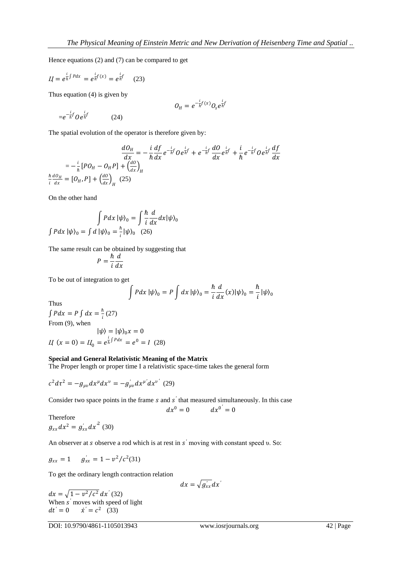Hence equations (2) and (7) can be compared to get

$$
II = e^{\frac{i}{\hbar}\int Pdx} = e^{\frac{i}{\hbar}f(x)} = e^{\frac{i}{\hbar}f} \qquad (23)
$$

Thus equation (4) is given by

$$
O_H = e^{-\frac{i}{\hbar}f(x)}O_s e^{\frac{i}{\hbar}f}
$$

The spatial evolution of the operator is therefore given by:

 $(24)$ 

$$
\frac{dO_H}{dx} = -\frac{i}{\hbar} \frac{df}{dx} e^{-\frac{i}{\hbar}f} O e^{\frac{i}{\hbar}f} + e^{-\frac{i}{\hbar}f} \frac{dO}{dx} e^{\frac{i}{\hbar}f} + \frac{i}{\hbar} e^{-\frac{i}{\hbar}f} O e^{\frac{i}{\hbar}f} \frac{df}{dx}
$$

$$
= -\frac{i}{\hbar} [PO_H - O_H P] + \left(\frac{dO}{dx}\right)_H
$$

$$
\frac{\hbar}{i} \frac{dO_H}{dx} = [O_H, P] + \left(\frac{dO}{dx}\right)_H (25)
$$

On the other hand

 $=e^{-\frac{i}{\hbar}f}$   $0e^{\frac{i}{\hbar}f}$ 

$$
\int Pdx |\psi\rangle_0 = \int \frac{\hbar}{i} \frac{d}{dx} dx |\psi\rangle_0
$$

$$
\int Pdx |\psi\rangle_0 = \int d |\psi\rangle_0 = \frac{\hbar}{i} |\psi\rangle_0 \quad (26)
$$

The same result can be obtained by suggesting that

$$
P = \frac{\hbar}{i} \frac{d}{dx}
$$

To be out of integration to get

$$
\int Pdx |\psi\rangle_0 = P \int dx |\psi\rangle_0 = \frac{\hbar}{i} \frac{d}{dx}(x) |\psi\rangle_0 = \frac{\hbar}{i} |\psi\rangle_0
$$

Thus

$$
\int Pdx = P \int dx = \frac{\hbar}{i} (27)
$$
  
From (9), when  

$$
|\psi\rangle = |\psi\rangle_0 x = 0
$$

$$
I\!I \ (x = 0) = I\!I_0 = e^{\frac{i}{\hbar}\int P dx} = e^0 = I \ (28)
$$

#### **Special and General Relativistic Meaning of the Matrix**

The Proper length or proper time I a relativistic space-time takes the general form

$$
c^2 d\tau^2 = -g_{\mu\nu} dx^{\mu} dx^{\nu} = -g'_{\mu\nu} dx^{\mu'} dx^{\nu'} \tag{29}
$$

Consider two space points in the frame  $s$  and  $s'$  that measured simultaneously. In this case

$$
dx^0=0 \qquad dx^{0'}=0
$$

Therefore  $g_{xx} dx^2 = g'_{xx} dx'^2$  (30)

An observer at *s* observe a rod which is at rest in *s'* moving with constant speed υ. So:

$$
g_{xx} = 1 \t g_{xx}^{'} = 1 - v^2/c^2(31)
$$

To get the ordinary length contraction relation

$$
dx=\sqrt{g_{xx}}dx'
$$

 $dx = \sqrt{1 - v^2/c^2} dx'$  (32) When s' moves with speed of light  $dt' = 0$   $\dot{x}' = c^2$  (33)